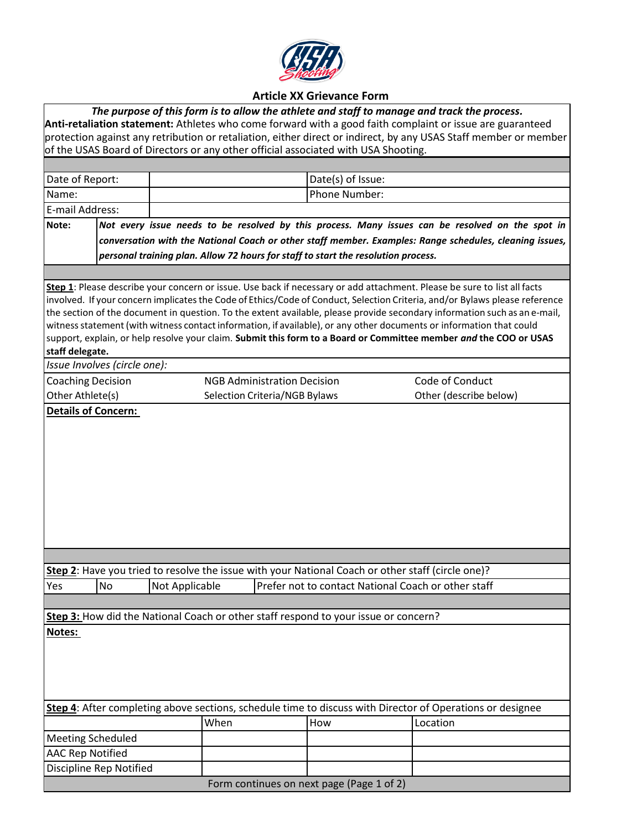

## **Article XX Grievance Form**

| The purpose of this form is to allow the athlete and staff to manage and track the process.                                                                                                                                   |                                                                                                         |                                                                                                   |                   |                                                                                                                             |  |  |  |  |  |  |  |
|-------------------------------------------------------------------------------------------------------------------------------------------------------------------------------------------------------------------------------|---------------------------------------------------------------------------------------------------------|---------------------------------------------------------------------------------------------------|-------------------|-----------------------------------------------------------------------------------------------------------------------------|--|--|--|--|--|--|--|
| Anti-retaliation statement: Athletes who come forward with a good faith complaint or issue are guaranteed<br>protection against any retribution or retaliation, either direct or indirect, by any USAS Staff member or member |                                                                                                         |                                                                                                   |                   |                                                                                                                             |  |  |  |  |  |  |  |
| of the USAS Board of Directors or any other official associated with USA Shooting.                                                                                                                                            |                                                                                                         |                                                                                                   |                   |                                                                                                                             |  |  |  |  |  |  |  |
|                                                                                                                                                                                                                               |                                                                                                         |                                                                                                   |                   |                                                                                                                             |  |  |  |  |  |  |  |
| Date of Report:                                                                                                                                                                                                               |                                                                                                         |                                                                                                   | Date(s) of Issue: |                                                                                                                             |  |  |  |  |  |  |  |
| Name:                                                                                                                                                                                                                         |                                                                                                         |                                                                                                   | Phone Number:     |                                                                                                                             |  |  |  |  |  |  |  |
| E-mail Address:                                                                                                                                                                                                               |                                                                                                         |                                                                                                   |                   |                                                                                                                             |  |  |  |  |  |  |  |
|                                                                                                                                                                                                                               |                                                                                                         |                                                                                                   |                   |                                                                                                                             |  |  |  |  |  |  |  |
| Note:                                                                                                                                                                                                                         |                                                                                                         |                                                                                                   |                   | Not every issue needs to be resolved by this process. Many issues can be resolved on the spot in                            |  |  |  |  |  |  |  |
|                                                                                                                                                                                                                               | conversation with the National Coach or other staff member. Examples: Range schedules, cleaning issues, |                                                                                                   |                   |                                                                                                                             |  |  |  |  |  |  |  |
| personal training plan. Allow 72 hours for staff to start the resolution process.                                                                                                                                             |                                                                                                         |                                                                                                   |                   |                                                                                                                             |  |  |  |  |  |  |  |
|                                                                                                                                                                                                                               |                                                                                                         |                                                                                                   |                   |                                                                                                                             |  |  |  |  |  |  |  |
|                                                                                                                                                                                                                               |                                                                                                         |                                                                                                   |                   | Step 1: Please describe your concern or issue. Use back if necessary or add attachment. Please be sure to list all facts    |  |  |  |  |  |  |  |
|                                                                                                                                                                                                                               |                                                                                                         |                                                                                                   |                   | involved. If your concern implicates the Code of Ethics/Code of Conduct, Selection Criteria, and/or Bylaws please reference |  |  |  |  |  |  |  |
|                                                                                                                                                                                                                               |                                                                                                         |                                                                                                   |                   | the section of the document in question. To the extent available, please provide secondary information such as an e-mail,   |  |  |  |  |  |  |  |
|                                                                                                                                                                                                                               |                                                                                                         |                                                                                                   |                   | witness statement (with witness contact information, if available), or any other documents or information that could        |  |  |  |  |  |  |  |
| support, explain, or help resolve your claim. Submit this form to a Board or Committee member and the COO or USAS<br>staff delegate.                                                                                          |                                                                                                         |                                                                                                   |                   |                                                                                                                             |  |  |  |  |  |  |  |
|                                                                                                                                                                                                                               | Issue Involves (circle one):                                                                            |                                                                                                   |                   |                                                                                                                             |  |  |  |  |  |  |  |
| <b>Coaching Decision</b>                                                                                                                                                                                                      |                                                                                                         | <b>NGB Administration Decision</b>                                                                |                   | Code of Conduct                                                                                                             |  |  |  |  |  |  |  |
| Other Athlete(s)                                                                                                                                                                                                              |                                                                                                         | Selection Criteria/NGB Bylaws                                                                     |                   | Other (describe below)                                                                                                      |  |  |  |  |  |  |  |
|                                                                                                                                                                                                                               |                                                                                                         |                                                                                                   |                   |                                                                                                                             |  |  |  |  |  |  |  |
| <b>Details of Concern:</b>                                                                                                                                                                                                    |                                                                                                         |                                                                                                   |                   |                                                                                                                             |  |  |  |  |  |  |  |
|                                                                                                                                                                                                                               |                                                                                                         |                                                                                                   |                   |                                                                                                                             |  |  |  |  |  |  |  |
|                                                                                                                                                                                                                               |                                                                                                         |                                                                                                   |                   |                                                                                                                             |  |  |  |  |  |  |  |
|                                                                                                                                                                                                                               |                                                                                                         |                                                                                                   |                   |                                                                                                                             |  |  |  |  |  |  |  |
|                                                                                                                                                                                                                               |                                                                                                         |                                                                                                   |                   |                                                                                                                             |  |  |  |  |  |  |  |
|                                                                                                                                                                                                                               |                                                                                                         |                                                                                                   |                   |                                                                                                                             |  |  |  |  |  |  |  |
|                                                                                                                                                                                                                               |                                                                                                         |                                                                                                   |                   |                                                                                                                             |  |  |  |  |  |  |  |
|                                                                                                                                                                                                                               |                                                                                                         |                                                                                                   |                   |                                                                                                                             |  |  |  |  |  |  |  |
|                                                                                                                                                                                                                               |                                                                                                         |                                                                                                   |                   |                                                                                                                             |  |  |  |  |  |  |  |
|                                                                                                                                                                                                                               |                                                                                                         |                                                                                                   |                   |                                                                                                                             |  |  |  |  |  |  |  |
|                                                                                                                                                                                                                               |                                                                                                         |                                                                                                   |                   |                                                                                                                             |  |  |  |  |  |  |  |
|                                                                                                                                                                                                                               |                                                                                                         | Step 2: Have you tried to resolve the issue with your National Coach or other staff (circle one)? |                   |                                                                                                                             |  |  |  |  |  |  |  |
| Yes                                                                                                                                                                                                                           | No                                                                                                      | Not Applicable                                                                                    |                   | Prefer not to contact National Coach or other staff                                                                         |  |  |  |  |  |  |  |
|                                                                                                                                                                                                                               |                                                                                                         |                                                                                                   |                   |                                                                                                                             |  |  |  |  |  |  |  |
|                                                                                                                                                                                                                               |                                                                                                         |                                                                                                   |                   |                                                                                                                             |  |  |  |  |  |  |  |
|                                                                                                                                                                                                                               |                                                                                                         | Step 3: How did the National Coach or other staff respond to your issue or concern?               |                   |                                                                                                                             |  |  |  |  |  |  |  |
| Notes:                                                                                                                                                                                                                        |                                                                                                         |                                                                                                   |                   |                                                                                                                             |  |  |  |  |  |  |  |
|                                                                                                                                                                                                                               |                                                                                                         |                                                                                                   |                   |                                                                                                                             |  |  |  |  |  |  |  |
|                                                                                                                                                                                                                               |                                                                                                         |                                                                                                   |                   |                                                                                                                             |  |  |  |  |  |  |  |
|                                                                                                                                                                                                                               |                                                                                                         |                                                                                                   |                   |                                                                                                                             |  |  |  |  |  |  |  |
|                                                                                                                                                                                                                               |                                                                                                         |                                                                                                   |                   |                                                                                                                             |  |  |  |  |  |  |  |
| Step 4: After completing above sections, schedule time to discuss with Director of Operations or designee                                                                                                                     |                                                                                                         |                                                                                                   |                   |                                                                                                                             |  |  |  |  |  |  |  |
|                                                                                                                                                                                                                               |                                                                                                         | When                                                                                              | How               | Location                                                                                                                    |  |  |  |  |  |  |  |
| <b>Meeting Scheduled</b>                                                                                                                                                                                                      |                                                                                                         |                                                                                                   |                   |                                                                                                                             |  |  |  |  |  |  |  |
| <b>AAC Rep Notified</b>                                                                                                                                                                                                       |                                                                                                         |                                                                                                   |                   |                                                                                                                             |  |  |  |  |  |  |  |
|                                                                                                                                                                                                                               |                                                                                                         |                                                                                                   |                   |                                                                                                                             |  |  |  |  |  |  |  |
| Discipline Rep Notified                                                                                                                                                                                                       |                                                                                                         |                                                                                                   |                   |                                                                                                                             |  |  |  |  |  |  |  |
| Form continues on next page (Page 1 of 2)                                                                                                                                                                                     |                                                                                                         |                                                                                                   |                   |                                                                                                                             |  |  |  |  |  |  |  |